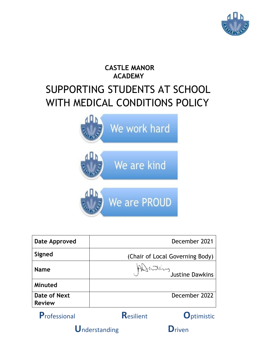

# **CASTLE MANOR ACADEMY** SUPPORTING STUDENTS AT SCHOOL WITH MEDICAL CONDITIONS POLICY



| <b>Date Approved</b>          | December 2021                   |                    |  |
|-------------------------------|---------------------------------|--------------------|--|
| Signed                        | (Chair of Local Governing Body) |                    |  |
| <b>Name</b>                   | the Sunder of Justine Dawkins   |                    |  |
| Minuted                       |                                 |                    |  |
| Date of Next<br><b>Review</b> | December 2022                   |                    |  |
| Professional                  | <b>Resilient</b>                | <b>O</b> ptimistic |  |
| Understanding                 |                                 | riven              |  |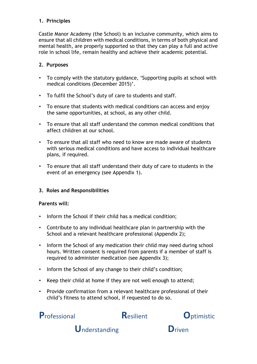# **1. Principles**

Castle Manor Academy (the School) is an inclusive community, which aims to ensure that all children with medical conditions, in terms of both physical and mental health, are properly supported so that they can play a full and active role in school life, remain healthy and achieve their academic potential.

#### **2. Purposes**

- To comply with the statutory guidance, 'Supporting pupils at school with medical conditions (December 2015)'.
- To fulfil the School's duty of care to students and staff.
- To ensure that students with medical conditions can access and enjoy the same opportunities, at school, as any other child.
- To ensure that all staff understand the common medical conditions that affect children at our school.
- To ensure that all staff who need to know are made aware of students with serious medical conditions and have access to individual healthcare plans, if required.
- To ensure that all staff understand their duty of care to students in the event of an emergency (see Appendix 1).

# **3. Roles and Responsibilities**

#### **Parents will:**

- Inform the School if their child has a medical condition;
- Contribute to any individual healthcare plan in partnership with the School and a relevant healthcare professional (Appendix 2);
- Inform the School of any medication their child may need during school hours. Written consent is required from parents if a member of staff is required to administer medication (see Appendix 3);
- Inform the School of any change to their child's condition;
- Keep their child at home if they are not well enough to attend;
- Provide confirmation from a relevant healthcare professional of their child's fitness to attend school, if requested to do so.



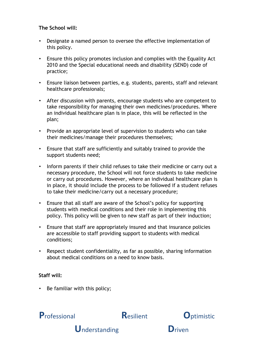#### **The School will:**

- Designate a named person to oversee the effective implementation of this policy.
- Ensure this policy promotes inclusion and complies with the Equality Act 2010 and the Special educational needs and disability (SEND) code of practice;
- Ensure liaison between parties, e.g. students, parents, staff and relevant healthcare professionals;
- After discussion with parents, encourage students who are competent to take responsibility for managing their own medicines/procedures. Where an individual healthcare plan is in place, this will be reflected in the plan;
- Provide an appropriate level of supervision to students who can take their medicines/manage their procedures themselves;
- Ensure that staff are sufficiently and suitably trained to provide the support students need;
- Inform parents if their child refuses to take their medicine or carry out a necessary procedure, the School will not force students to take medicine or carry out procedures. However, where an individual healthcare plan is in place, it should include the process to be followed if a student refuses to take their medicine/carry out a necessary procedure;
- Ensure that all staff are aware of the School's policy for supporting students with medical conditions and their role in implementing this policy. This policy will be given to new staff as part of their induction;
- Ensure that staff are appropriately insured and that insurance policies are accessible to staff providing support to students with medical conditions;
- Respect student confidentiality, as far as possible, sharing information about medical conditions on a need to know basis.

# **Staff will:**

• Be familiar with this policy;



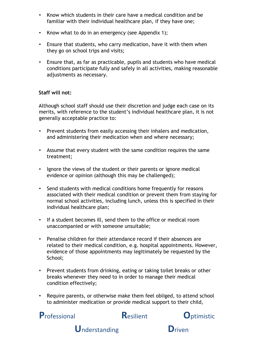- Know which students in their care have a medical condition and be familiar with their individual healthcare plan, if they have one;
- Know what to do in an emergency (see Appendix 1);
- Ensure that students, who carry medication, have it with them when they go on school trips and visits;
- Ensure that, as far as practicable, pupils and students who have medical conditions participate fully and safely in all activities, making reasonable adjustments as necessary.

#### **Staff will not:**

Although school staff should use their discretion and judge each case on its merits, with reference to the student's individual healthcare plan, it is not generally acceptable practice to:

- Prevent students from easily accessing their inhalers and medication, and administering their medication when and where necessary;
- Assume that every student with the same condition requires the same treatment;
- Ignore the views of the student or their parents or ignore medical evidence or opinion (although this may be challenged);
- Send students with medical conditions home frequently for reasons associated with their medical condition or prevent them from staying for normal school activities, including lunch, unless this is specified in their individual healthcare plan;
- If a student becomes ill, send them to the office or medical room unaccompanied or with someone unsuitable;
- Penalise children for their attendance record if their absences are related to their medical condition, e.g. hospital appointments. However, evidence of those appointments may legitimately be requested by the School;
- Prevent students from drinking, eating or taking toilet breaks or other breaks whenever they need to in order to manage their medical condition effectively;
- Require parents, or otherwise make them feel obliged, to attend school to administer medication or provide medical support to their child,



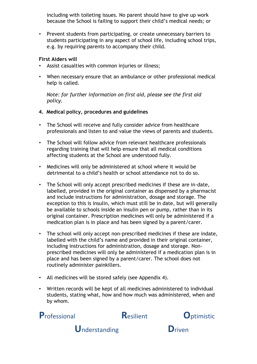including with toileting issues. No parent should have to give up work because the School is failing to support their child's medical needs; or

• Prevent students from participating, or create unnecessary barriers to students participating in any aspect of school life, including school trips, e.g. by requiring parents to accompany their child.

#### **First Aiders will**

- Assist casualties with common injuries or illness;
- When necessary ensure that an ambulance or other professional medical help is called.

*Note: for further information on first aid, please see the first aid policy.* 

#### **4. Medical policy, procedures and guidelines**

- The School will receive and fully consider advice from healthcare professionals and listen to and value the views of parents and students.
- The School will follow advice from relevant healthcare professionals regarding training that will help ensure that all medical conditions affecting students at the School are understood fully.
- Medicines will only be administered at school where it would be detrimental to a child's health or school attendance not to do so.
- The School will only accept prescribed medicines if these are in-date, labelled, provided in the original container as dispensed by a pharmacist and include instructions for administration, dosage and storage. The exception to this is insulin, which must still be in date, but will generally be available to schools inside an insulin pen or pump, rather than in its original container. Prescription medicines will only be administered if a medication plan is in place and has been signed by a parent/carer.
- The school will only accept non-prescribed medicines if these are indate, labelled with the child's name and provided in their original container, including instructions for administration, dosage and storage. Nonprescribed medicines will only be administered if a medication plan is in place and has been signed by a parent/carer. The school does not routinely administer painkillers.
- All medicines will be stored safely (see Appendix 4).
- Written records will be kept of all medicines administered to individual students, stating what, how and how much was administered, when and by whom.





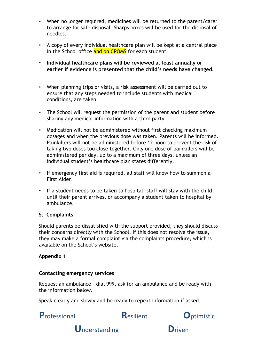- When no longer required, medicines will be returned to the parent/carer to arrange for safe disposal. Sharps boxes will be used for the disposal of needles.
- A copy of every individual healthcare plan will be kept at a central place in the School office and on CPOMS for each student
- **Individual healthcare plans will be reviewed at least annually or earlier if evidence is presented that the child's needs have changed.**
- When planning trips or visits, a risk assessment will be carried out to ensure that any steps needed to include students with medical conditions, are taken.
- The School will request the permission of the parent and student before sharing any medical information with a third party.
- Medication will not be administered without first checking maximum dosages and when the previous dose was taken. Parents will be informed. Painkillers will not be administered before 12 noon to prevent the risk of taking two doses too close together. Only one dose of painkillers will be administered per day, up to a maximum of three days, unless an individual student's healthcare plan states differently.
- If emergency first aid is required, all staff will know how to summon a First Aider.
- If a student needs to be taken to hospital, staff will stay with the child until their parent arrives, or accompany a student taken to hospital by ambulance.

#### **5. Complaints**

Should parents be dissatisfied with the support provided, they should discuss their concerns directly with the School. If this does not resolve the issue, they may make a formal complaint via the complaints procedure, which is available on the School's website.

#### **Appendix 1**

#### **Contacting emergency services**

Request an ambulance - dial 999, ask for an ambulance and be ready with the information below.

Speak clearly and slowly and be ready to repeat information if asked.

**P**rofessional **R**esilient **O**ptimistic



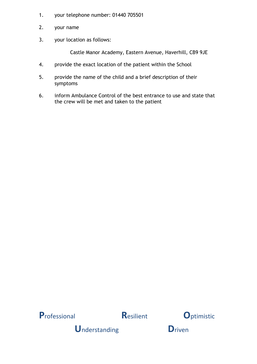- $1.$ your telephone number: 01440 705501
- $2.$ your name
- $3.$ your location as follows:

Castle Manor Academy, Eastern Avenue, Haverhill, CB9 9JE

- provide the exact location of the patient within the School  $\overline{4}$ .
- 5. provide the name of the child and a brief description of their symptoms
- 6. inform Ambulance Control of the best entrance to use and state that the crew will be met and taken to the patient







**Understanding** 

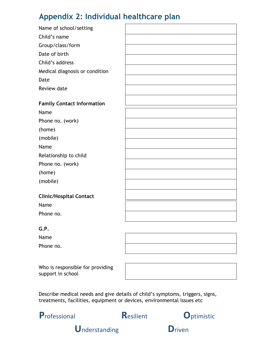# Appendix 2: Individual healthcare plan

| Name of school/setting            |  |
|-----------------------------------|--|
| Child's name                      |  |
| Group/class/form                  |  |
| Date of birth                     |  |
| Child's address                   |  |
| Medical diagnosis or condition    |  |
| Date                              |  |
| Review date                       |  |
|                                   |  |
| <b>Family Contact Information</b> |  |
| Name                              |  |
| Phone no. (work)                  |  |
| (home)                            |  |
| (mobile)                          |  |
| Name                              |  |
| Relationship to child             |  |
| Phone no. (work)                  |  |
| (home)                            |  |
| (mobile)                          |  |
|                                   |  |
| <b>Clinic/Hospital Contact</b>    |  |
| Name                              |  |
| Phone no.                         |  |
|                                   |  |

#### $G.P.$

Name

Phone no.

Who is responsible for providing support in school

Describe medical needs and give details of child's symptoms, triggers, signs, treatments, facilities, equipment or devices, environmental issues etc



Resilient



**Understanding** 

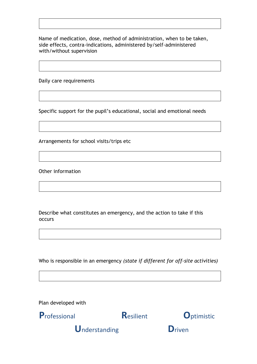Name of medication, dose, method of administration, when to be taken, side effects, contra-indications, administered by/self-administered with/without supervision

Daily care requirements

Specific support for the pupil's educational, social and emotional needs

Arrangements for school visits/trips etc

Other information

Describe what constitutes an emergency, and the action to take if this occurs

Who is responsible in an emergency *(state if different for off-site activities)* 

Plan developed with



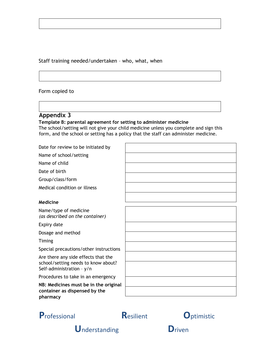Staff training needed/undertaken – who, what, when

#### Form copied to

# **Appendix 3**

#### **Template B: parental agreement for setting to administer medicine**

The school/setting will not give your child medicine unless you complete and sign this form, and the school or setting has a policy that the staff can administer medicine.

Date for review to be initiated by Name of school/setting Name of child Date of birth Group/class/form Medical condition or illness **Medicine**  Name/type of medicine *(as described on the container)*  Expiry date Dosage and method Timing Special precautions/other instructions Are there any side effects that the school/setting needs to know about? Self-administration – y/n Procedures to take in an emergency **NB: Medicines must be in the original** 

**container as dispensed by the pharmacy** 



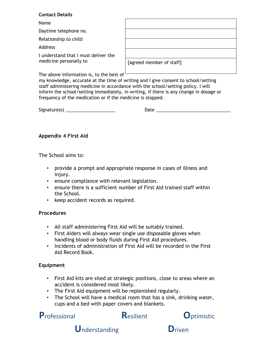#### **Contact Details**

| Name                                                           |                          |
|----------------------------------------------------------------|--------------------------|
| Daytime telephone no.                                          |                          |
| Relationship to child                                          |                          |
| <b>Address</b>                                                 |                          |
| I understand that I must deliver the<br>medicine personally to |                          |
|                                                                | [agreed member of staff] |
|                                                                |                          |

The above information is, to the best of

my knowledge, accurate at the time of writing and I give consent to school/setting staff administering medicine in accordance with the school/setting policy. I will inform the school/setting immediately, in writing, if there is any change in dosage or frequency of the medication or if the medicine is stopped.

Signature(s) \_\_\_\_\_\_\_\_\_\_\_\_\_\_\_\_\_\_\_\_ Date \_\_\_\_\_\_\_\_\_\_\_\_\_\_\_\_\_\_\_\_\_\_\_\_\_\_\_\_\_\_

#### **Appendix 4 First Aid**

The School aims to:

- provide a prompt and appropriate response in cases of illness and injury.
- ensure compliance with relevant legislation.
- ensure there is a sufficient number of First Aid trained staff within the School.
- keep accident records as required.

#### **Procedures**

- All staff administering First Aid will be suitably trained.
- First Aiders will always wear single use disposable gloves when handling blood or body fluids during First Aid procedures.
- Incidents of administration of First Aid will be recorded in the First Aid Record Book.

#### **Equipment**

- First Aid kits are sited at strategic positions, close to areas where an accident is considered most likely.
- The First Aid equipment will be replenished regularly.
- The School will have a medical room that has a sink, drinking water, cups and a bed with paper covers and blankets.